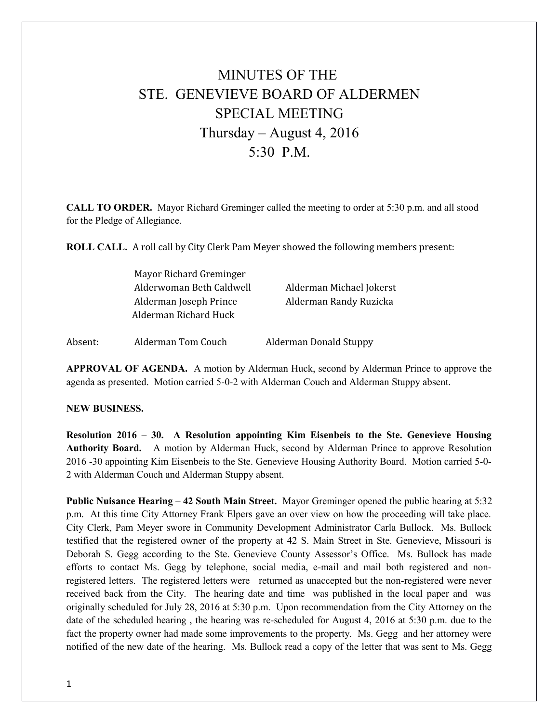## MINUTES OF THE STE. GENEVIEVE BOARD OF ALDERMEN SPECIAL MEETING Thursday – August 4, 2016  $5.30 \text{ } P \text{ } M$

**CALL TO ORDER.** Mayor Richard Greminger called the meeting to order at 5:30 p.m. and all stood for the Pledge of Allegiance.

**ROLL CALL.** A roll call by City Clerk Pam Meyer showed the following members present:

| Mayor Richard Greminger  |                          |
|--------------------------|--------------------------|
| Alderwoman Beth Caldwell | Alderman Michael Jokerst |
| Alderman Joseph Prince   | Alderman Randy Ruzicka   |
| Alderman Richard Huck    |                          |
|                          |                          |

Absent: Alderman Tom Couch Alderman Donald Stuppy

**APPROVAL OF AGENDA.** A motion by Alderman Huck, second by Alderman Prince to approve the agenda as presented. Motion carried 5-0-2 with Alderman Couch and Alderman Stuppy absent.

## **NEW BUSINESS.**

**Resolution 2016 – 30. A Resolution appointing Kim Eisenbeis to the Ste. Genevieve Housing Authority Board.** A motion by Alderman Huck, second by Alderman Prince to approve Resolution 2016 -30 appointing Kim Eisenbeis to the Ste. Genevieve Housing Authority Board. Motion carried 5-0- 2 with Alderman Couch and Alderman Stuppy absent.

**Public Nuisance Hearing – 42 South Main Street.** Mayor Greminger opened the public hearing at 5:32 p.m. At this time City Attorney Frank Elpers gave an over view on how the proceeding will take place. City Clerk, Pam Meyer swore in Community Development Administrator Carla Bullock. Ms. Bullock testified that the registered owner of the property at 42 S. Main Street in Ste. Genevieve, Missouri is Deborah S. Gegg according to the Ste. Genevieve County Assessor's Office. Ms. Bullock has made efforts to contact Ms. Gegg by telephone, social media, e-mail and mail both registered and nonregistered letters. The registered letters were returned as unaccepted but the non-registered were never received back from the City. The hearing date and time was published in the local paper and was originally scheduled for July 28, 2016 at 5:30 p.m. Upon recommendation from the City Attorney on the date of the scheduled hearing , the hearing was re-scheduled for August 4, 2016 at 5:30 p.m. due to the fact the property owner had made some improvements to the property. Ms. Gegg and her attorney were notified of the new date of the hearing. Ms. Bullock read a copy of the letter that was sent to Ms. Gegg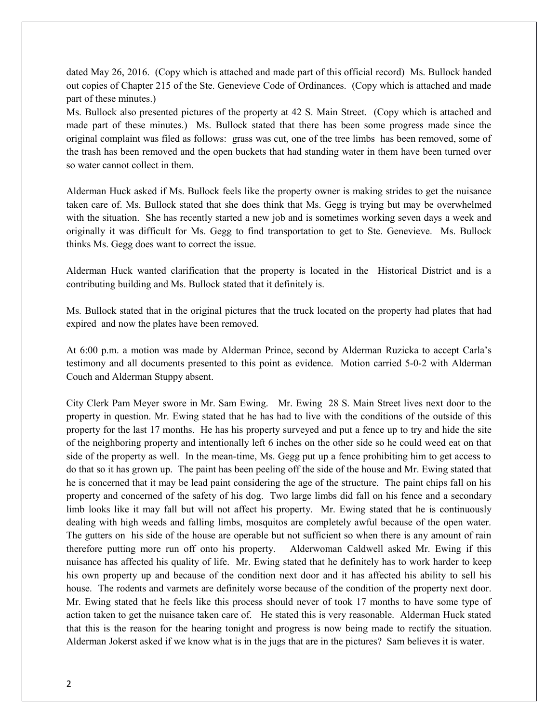dated May 26, 2016. (Copy which is attached and made part of this official record) Ms. Bullock handed out copies of Chapter 215 of the Ste. Genevieve Code of Ordinances. (Copy which is attached and made part of these minutes.)

Ms. Bullock also presented pictures of the property at 42 S. Main Street. (Copy which is attached and made part of these minutes.) Ms. Bullock stated that there has been some progress made since the original complaint was filed as follows: grass was cut, one of the tree limbs has been removed, some of the trash has been removed and the open buckets that had standing water in them have been turned over so water cannot collect in them.

Alderman Huck asked if Ms. Bullock feels like the property owner is making strides to get the nuisance taken care of. Ms. Bullock stated that she does think that Ms. Gegg is trying but may be overwhelmed with the situation. She has recently started a new job and is sometimes working seven days a week and originally it was difficult for Ms. Gegg to find transportation to get to Ste. Genevieve. Ms. Bullock thinks Ms. Gegg does want to correct the issue.

Alderman Huck wanted clarification that the property is located in the Historical District and is a contributing building and Ms. Bullock stated that it definitely is.

Ms. Bullock stated that in the original pictures that the truck located on the property had plates that had expired and now the plates have been removed.

At 6:00 p.m. a motion was made by Alderman Prince, second by Alderman Ruzicka to accept Carla's testimony and all documents presented to this point as evidence. Motion carried 5-0-2 with Alderman Couch and Alderman Stuppy absent.

City Clerk Pam Meyer swore in Mr. Sam Ewing. Mr. Ewing 28 S. Main Street lives next door to the property in question. Mr. Ewing stated that he has had to live with the conditions of the outside of this property for the last 17 months. He has his property surveyed and put a fence up to try and hide the site of the neighboring property and intentionally left 6 inches on the other side so he could weed eat on that side of the property as well. In the mean-time, Ms. Gegg put up a fence prohibiting him to get access to do that so it has grown up. The paint has been peeling off the side of the house and Mr. Ewing stated that he is concerned that it may be lead paint considering the age of the structure. The paint chips fall on his property and concerned of the safety of his dog. Two large limbs did fall on his fence and a secondary limb looks like it may fall but will not affect his property. Mr. Ewing stated that he is continuously dealing with high weeds and falling limbs, mosquitos are completely awful because of the open water. The gutters on his side of the house are operable but not sufficient so when there is any amount of rain therefore putting more run off onto his property. Alderwoman Caldwell asked Mr. Ewing if this nuisance has affected his quality of life. Mr. Ewing stated that he definitely has to work harder to keep his own property up and because of the condition next door and it has affected his ability to sell his house. The rodents and varmets are definitely worse because of the condition of the property next door. Mr. Ewing stated that he feels like this process should never of took 17 months to have some type of action taken to get the nuisance taken care of. He stated this is very reasonable. Alderman Huck stated that this is the reason for the hearing tonight and progress is now being made to rectify the situation. Alderman Jokerst asked if we know what is in the jugs that are in the pictures? Sam believes it is water.